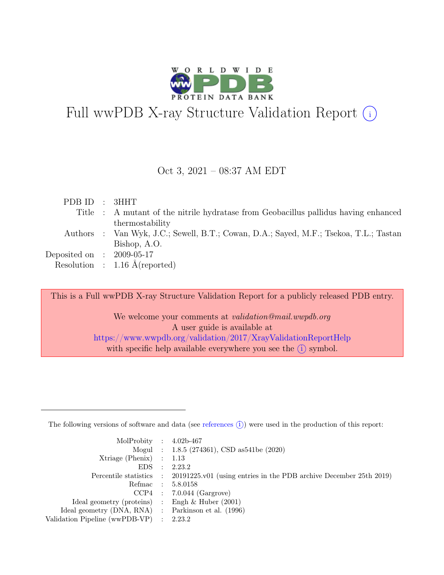

# Full wwPDB X-ray Structure Validation Report  $\bigcirc$

#### Oct 3, 2021 – 08:37 AM EDT

| PDBID : 3HHT                |                                                                                       |
|-----------------------------|---------------------------------------------------------------------------------------|
|                             | Title : A mutant of the nitrile hydratase from Geobacillus pallidus having enhanced   |
|                             | thermostability                                                                       |
|                             | Authors : Van Wyk, J.C.; Sewell, B.T.; Cowan, D.A.; Sayed, M.F.; Tsekoa, T.L.; Tastan |
|                             | Bishop, A.O.                                                                          |
| Deposited on : $2009-05-17$ |                                                                                       |
|                             | Resolution : $1.16 \text{ Å}$ (reported)                                              |
|                             |                                                                                       |

This is a Full wwPDB X-ray Structure Validation Report for a publicly released PDB entry.

We welcome your comments at validation@mail.wwpdb.org A user guide is available at <https://www.wwpdb.org/validation/2017/XrayValidationReportHelp> with specific help available everywhere you see the  $(i)$  symbol.

The following versions of software and data (see [references](https://www.wwpdb.org/validation/2017/XrayValidationReportHelp#references)  $(i)$ ) were used in the production of this report:

| MolProbity : $4.02b-467$                            |           |                                                                                            |
|-----------------------------------------------------|-----------|--------------------------------------------------------------------------------------------|
|                                                     |           | Mogul : $1.8.5$ (274361), CSD as 541be (2020)                                              |
| $Xtriangle (Phenix)$ : 1.13                         |           |                                                                                            |
| EDS                                                 | $\cdot$ : | 2.23.2                                                                                     |
|                                                     |           | Percentile statistics : 20191225.v01 (using entries in the PDB archive December 25th 2019) |
| Refmac : 5.8.0158                                   |           |                                                                                            |
|                                                     |           | $CCP4$ : 7.0.044 (Gargrove)                                                                |
| Ideal geometry (proteins) : Engh $\&$ Huber (2001)  |           |                                                                                            |
| Ideal geometry (DNA, RNA) : Parkinson et al. (1996) |           |                                                                                            |
| Validation Pipeline (wwPDB-VP) : 2.23.2             |           |                                                                                            |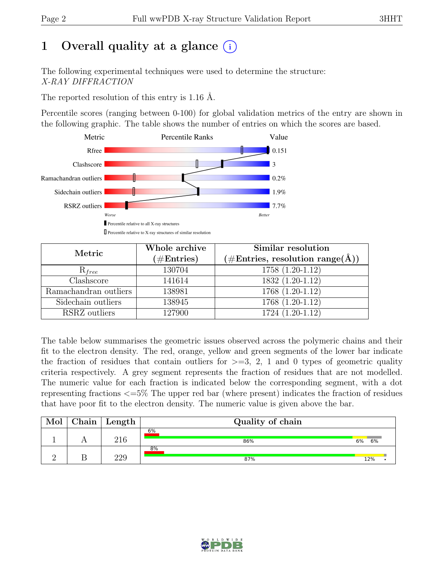# 1 Overall quality at a glance  $(i)$

The following experimental techniques were used to determine the structure: X-RAY DIFFRACTION

The reported resolution of this entry is 1.16 Å.

Percentile scores (ranging between 0-100) for global validation metrics of the entry are shown in the following graphic. The table shows the number of entries on which the scores are based.



| Metric                | Whole archive<br>$(\#\text{Entries})$ | Similar resolution<br>$(\# \text{Entries}, \text{ resolution } \text{range}(\AA))$ |
|-----------------------|---------------------------------------|------------------------------------------------------------------------------------|
| $R_{free}$            | 130704                                | $1758(1.20-1.12)$                                                                  |
| Clashscore            | 141614                                | 1832 (1.20-1.12)                                                                   |
| Ramachandran outliers | 138981                                | 1768 (1.20-1.12)                                                                   |
| Sidechain outliers    | 138945                                | 1768 (1.20-1.12)                                                                   |
| RSRZ outliers         | 127900                                | 1724 (1.20-1.12)                                                                   |

The table below summarises the geometric issues observed across the polymeric chains and their fit to the electron density. The red, orange, yellow and green segments of the lower bar indicate the fraction of residues that contain outliers for  $\geq$ =3, 2, 1 and 0 types of geometric quality criteria respectively. A grey segment represents the fraction of residues that are not modelled. The numeric value for each fraction is indicated below the corresponding segment, with a dot representing fractions <=5% The upper red bar (where present) indicates the fraction of residues that have poor fit to the electron density. The numeric value is given above the bar.

| Mol | Chain | $\mathsf{Length}$ | Quality of chain |          |  |  |  |  |
|-----|-------|-------------------|------------------|----------|--|--|--|--|
|     |       | 216               | 6%<br>86%        | 6%<br>6% |  |  |  |  |
|     |       | າາດ               | $8\%$<br>87%     | 12%      |  |  |  |  |

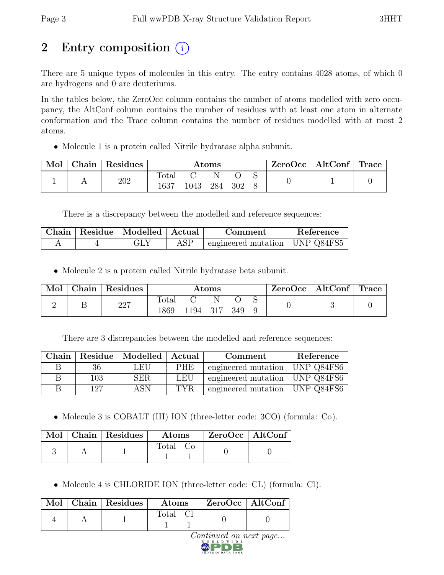# 2 Entry composition (i)

There are 5 unique types of molecules in this entry. The entry contains 4028 atoms, of which 0 are hydrogens and 0 are deuteriums.

In the tables below, the ZeroOcc column contains the number of atoms modelled with zero occupancy, the AltConf column contains the number of residues with at least one atom in alternate conformation and the Trace column contains the number of residues modelled with at most 2 atoms.

• Molecule 1 is a protein called Nitrile hydratase alpha subunit.

| Mol | Chain | Residues | $\rm{Atoms}$  |      |     |     | $ZeroOcc \mid AltConf \mid Trace$ |  |  |
|-----|-------|----------|---------------|------|-----|-----|-----------------------------------|--|--|
|     |       | 202      | Total<br>1637 | '043 | 284 | 302 |                                   |  |  |

There is a discrepancy between the modelled and reference sequences:

| Chain | Residue   Modelled   Actual | Comment                                    | Reference |
|-------|-----------------------------|--------------------------------------------|-----------|
|       | GLY                         | $\pm$ engineered mutation $\pm$ UNP Q84FS5 |           |

• Molecule 2 is a protein called Nitrile hydratase beta subunit.

| Mol | Chain | Residues | Atoms         |              |  |  | $ZeroOcc \   \ AltConf \   \ Trace$ |  |  |
|-----|-------|----------|---------------|--------------|--|--|-------------------------------------|--|--|
|     |       | 227      | Total<br>1869 | 1194 317 349 |  |  |                                     |  |  |

There are 3 discrepancies between the modelled and reference sequences:

| Chain |     | Residue   Modelled   Actual |      | Comment                          | Reference  |
|-------|-----|-----------------------------|------|----------------------------------|------------|
| В     | 36  | LEU                         | PHE. | engineered mutation   UNP Q84FS6 |            |
| В     | 103 | <b>SER</b>                  | LEU  | engineered mutation   UNP Q84FS6 |            |
| R     | 127 | <b>ASN</b>                  | TYR. | engineered mutation              | UNP Q84FS6 |

• Molecule 3 is COBALT (III) ION (three-letter code: 3CO) (formula: Co).

|  | Mol   Chain   Residues | Atoms | ZeroOcc   AltConf |  |
|--|------------------------|-------|-------------------|--|
|  |                        | Total |                   |  |

• Molecule 4 is CHLORIDE ION (three-letter code: CL) (formula: Cl).

|  | Mol   Chain   Residues | $\rm{Atoms}$   | ZeroOcc   AltConf |  |
|--|------------------------|----------------|-------------------|--|
|  |                        | $\text{Total}$ |                   |  |

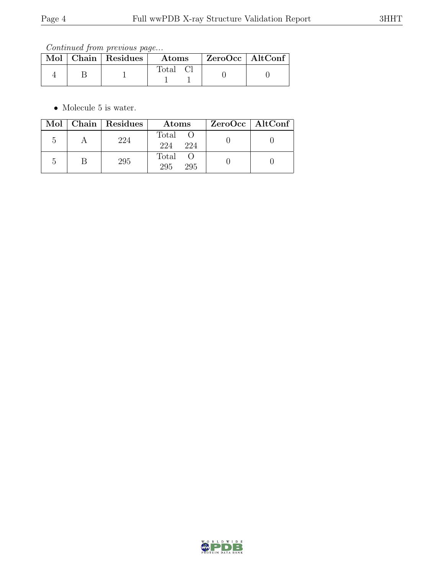|  | Mol   Chain   Residues | $\boldsymbol{\mathrm{Atoms}}$ | ZeroOcc   AltConf |  |
|--|------------------------|-------------------------------|-------------------|--|
|  |                        | Total C                       |                   |  |

 $\bullet\,$  Molecule 5 is water.

|    | Mol   Chain   Residues | Atoms                 | $ZeroOcc \   \$ AltConf |
|----|------------------------|-----------------------|-------------------------|
| .5 | 224                    | Total O<br>224<br>224 |                         |
|    | 295                    | Total O<br>295<br>295 |                         |

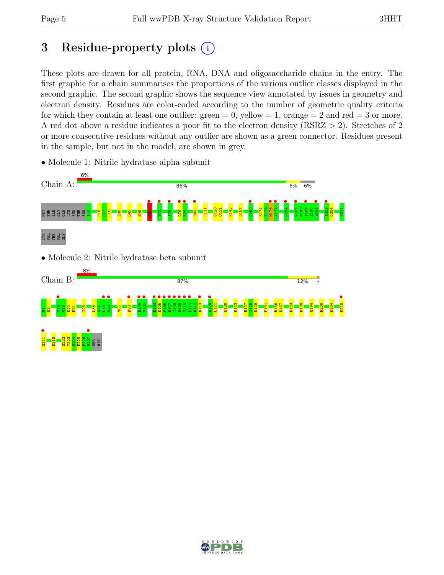# 3 Residue-property plots  $(i)$

These plots are drawn for all protein, RNA, DNA and oligosaccharide chains in the entry. The first graphic for a chain summarises the proportions of the various outlier classes displayed in the second graphic. The second graphic shows the sequence view annotated by issues in geometry and electron density. Residues are color-coded according to the number of geometric quality criteria for which they contain at least one outlier:  $green = 0$ , yellow  $= 1$ , orange  $= 2$  and red  $= 3$  or more. A red dot above a residue indicates a poor fit to the electron density (RSRZ > 2). Stretches of 2 or more consecutive residues without any outlier are shown as a green connector. Residues present in the sample, but not in the model, are shown in grey.



• Molecule 1: Nitrile hydratase alpha subunit

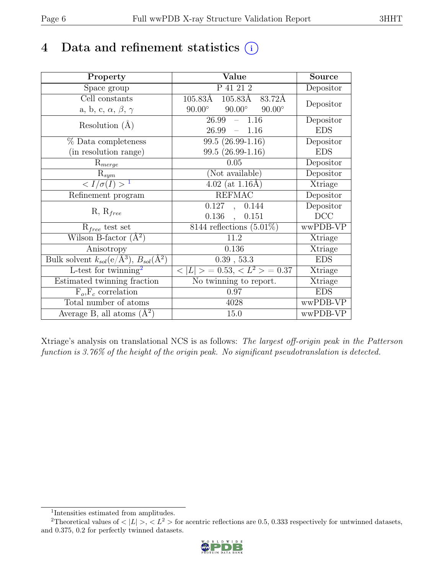## 4 Data and refinement statistics  $(i)$

| Property                                                         | Value                                           | <b>Source</b> |
|------------------------------------------------------------------|-------------------------------------------------|---------------|
| Space group                                                      | P 41 21 2                                       | Depositor     |
| Cell constants                                                   | 105.83Å<br>$105.83\text{\AA}$<br>83.72Å         | Depositor     |
| a, b, c, $\alpha$ , $\beta$ , $\gamma$                           | $90.00^\circ$<br>$90.00^\circ$<br>$90.00^\circ$ |               |
| Resolution $(A)$                                                 | 26.99<br>$-1.16$                                | Depositor     |
|                                                                  | 26.99<br>$-1.16$                                | <b>EDS</b>    |
| % Data completeness                                              | 99.5 (26.99-1.16)                               | Depositor     |
| (in resolution range)                                            | 99.5 (26.99-1.16)                               | <b>EDS</b>    |
| $R_{merge}$                                                      | 0.05                                            | Depositor     |
| $\mathrm{R}_{sym}$                                               | (Not available)                                 | Depositor     |
| $\langle I/\sigma(I) \rangle^{-1}$                               | $4.02$ (at $1.16\text{\AA}$ )                   | Xtriage       |
| Refinement program                                               | <b>REFMAC</b>                                   | Depositor     |
|                                                                  | 0.127, 0.144                                    | Depositor     |
| $R, R_{free}$                                                    | $0.136$ ,<br>0.151                              | DCC           |
| $R_{free}$ test set                                              | $8144$ reflections $(5.01\%)$                   | wwPDB-VP      |
| Wilson B-factor $(A^2)$                                          | 11.2                                            | Xtriage       |
| Anisotropy                                                       | 0.136                                           | Xtriage       |
| Bulk solvent $k_{sol}(\text{e}/\text{A}^3), B_{sol}(\text{A}^2)$ | 0.39, 53.3                                      | <b>EDS</b>    |
| L-test for twinning <sup>2</sup>                                 | $< L >$ = 0.53, $< L^2 >$ = 0.37                | Xtriage       |
| Estimated twinning fraction                                      | No twinning to report.                          | Xtriage       |
| $F_o, F_c$ correlation                                           | 0.97                                            | <b>EDS</b>    |
| Total number of atoms                                            | 4028                                            | wwPDB-VP      |
| Average B, all atoms $(A^2)$                                     | 15.0                                            | wwPDB-VP      |

Xtriage's analysis on translational NCS is as follows: The largest off-origin peak in the Patterson function is 3.76% of the height of the origin peak. No significant pseudotranslation is detected.

<sup>&</sup>lt;sup>2</sup>Theoretical values of  $\langle |L| \rangle$ ,  $\langle L^2 \rangle$  for acentric reflections are 0.5, 0.333 respectively for untwinned datasets, and 0.375, 0.2 for perfectly twinned datasets.



<span id="page-5-1"></span><span id="page-5-0"></span><sup>1</sup> Intensities estimated from amplitudes.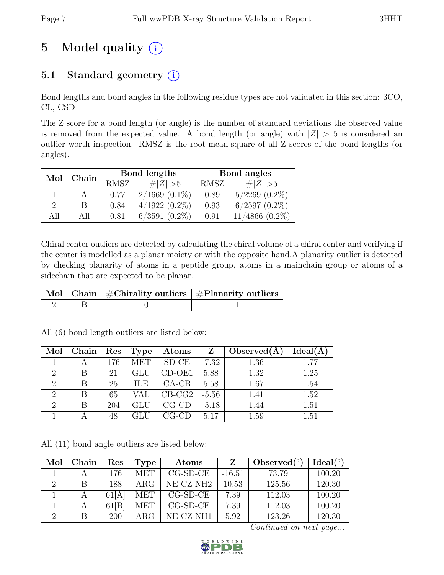# 5 Model quality  $(i)$

## 5.1 Standard geometry  $(i)$

Bond lengths and bond angles in the following residue types are not validated in this section: 3CO, CL, CSD

The Z score for a bond length (or angle) is the number of standard deviations the observed value is removed from the expected value. A bond length (or angle) with  $|Z| > 5$  is considered an outlier worth inspection. RMSZ is the root-mean-square of all Z scores of the bond lengths (or angles).

| Chain<br>Mol  |    |             | Bond lengths       | Bond angles |                    |  |
|---------------|----|-------------|--------------------|-------------|--------------------|--|
|               |    | <b>RMSZ</b> | $\# Z  > 5$        | RMSZ        | $\# Z  > 5$        |  |
|               |    | 0.77        | $2/1669$ $(0.1\%)$ | 0.89        | $5/2269$ $(0.2\%)$ |  |
| $\mathcal{D}$ |    | 0.84        | $4/1922(0.2\%)$    | 0.93        | $6/2597$ $(0.2\%)$ |  |
| All           | ΑN | 0.81        | $6/3591$ $(0.2\%)$ | 0.91        | $4866(0.2\%)$      |  |

Chiral center outliers are detected by calculating the chiral volume of a chiral center and verifying if the center is modelled as a planar moiety or with the opposite hand.A planarity outlier is detected by checking planarity of atoms in a peptide group, atoms in a mainchain group or atoms of a sidechain that are expected to be planar.

|  | $\mid$ Mol $\mid$ Chain $\mid$ #Chirality outliers $\mid$ #Planarity outliers $\mid$ |
|--|--------------------------------------------------------------------------------------|
|  |                                                                                      |

| Mol            | Chain | Res | Type       | $\boldsymbol{\mathrm{Atoms}}$ | $\mathbf{Z}$ | Observed $(A)$ | Ideal(A) |
|----------------|-------|-----|------------|-------------------------------|--------------|----------------|----------|
|                |       | 176 | MET        | $SD-CE$                       | $-7.32$      | 1.36           | 1.77     |
| 2              | В     | 21  | <b>GLU</b> | $CD-OE1$                      | 5.88         | 1.32           | 1.25     |
| $\overline{2}$ | B     | 25  | ILE.       | $CA-CB$                       | 5.58         | 1.67           | 1.54     |
| 2              | B     | 65  | VAL        | $CB-CG2$                      | $-5.56$      | 1.41           | 1.52     |
| 2              | В     | 204 | <b>GLU</b> | $CG$ - $CD$                   | $-5.18$      | 1.44           | 1.51     |
|                |       | 48  |            | CG-CD                         | 5.17         | 1.59           | 1.51     |

All (6) bond length outliers are listed below:

All (11) bond angle outliers are listed below:

| Mol | Chain | Res   | Type       | Atoms      | Z        | Observed $(°)$ | Ideal <sup>(o)</sup> |
|-----|-------|-------|------------|------------|----------|----------------|----------------------|
|     |       | 176   | <b>MET</b> | $CG-SD-CE$ | $-16.51$ | 73.79          | 100.20               |
| 2   | B     | 188   | $\rm{ARG}$ | NE-CZ-NH2  | 10.53    | 125.56         | 120.30               |
|     |       | 61 A  | <b>MET</b> | $CG-SD-CE$ | 7.39     | 112.03         | 100.20               |
|     |       | 61[B] | <b>MET</b> | $CG-SD-CE$ | 7.39     | 112.03         | 100.20               |
|     | B     | 200   | $\rm{ARG}$ | NE-CZ-NH1  | 5.92     | 123.26         | 120.30               |

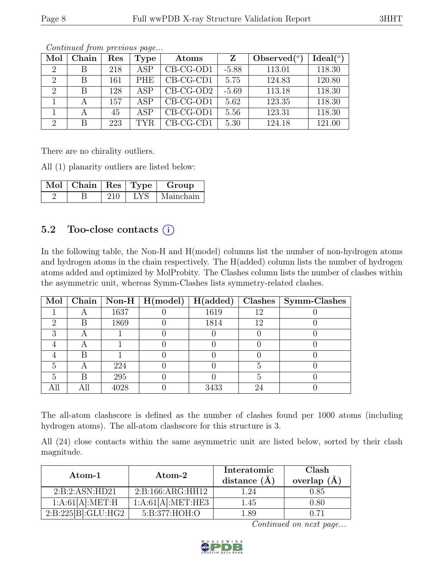| Mol            | Chain | Res | <b>Type</b> | Atoms       | Z       | Observed $(°)$ | Ideal $(°)$ |
|----------------|-------|-----|-------------|-------------|---------|----------------|-------------|
|                | В     | 218 | ASP         | CB-CG-OD1   | $-5.88$ | 113.01         | 118.30      |
| 2              | В     | 161 | <b>PHE</b>  | $CB-CG-CD1$ | 5.75    | 124.83         | 120.80      |
| $\overline{2}$ | B     | 128 | ASP         | $CB-CG-OD2$ | $-5.69$ | 113.18         | 118.30      |
|                |       | 157 | ASP.        | CB-CG-OD1   | 5.62    | 123.35         | 118.30      |
|                |       | 45  | ASP         | CB-CG-OD1   | 5.56    | 123.31         | 118.30      |
| $\overline{2}$ | В     | 223 | TYR.        | $CB-CG-CD1$ | 5.30    | 124.18         | 121.00      |

There are no chirality outliers.

All (1) planarity outliers are listed below:

| $\vert$ Mol $\vert$ Chain $\vert$ Res $\vert$ Type $\vert$ |     |     | Group     |
|------------------------------------------------------------|-----|-----|-----------|
|                                                            | 210 | LYS | Mainchain |

#### 5.2 Too-close contacts  $(i)$

In the following table, the Non-H and H(model) columns list the number of non-hydrogen atoms and hydrogen atoms in the chain respectively. The H(added) column lists the number of hydrogen atoms added and optimized by MolProbity. The Clashes column lists the number of clashes within the asymmetric unit, whereas Symm-Clashes lists symmetry-related clashes.

|    |   |      | $\overline{\text{Mol}}$ Chain   Non-H   H(model) | $\vert$ H(added) |    | $Clashes$   Symm-Clashes |
|----|---|------|--------------------------------------------------|------------------|----|--------------------------|
|    |   | 1637 |                                                  | 1619             | 12 |                          |
| ٠, | B | 1869 |                                                  | 1814             | 12 |                          |
|    |   |      |                                                  |                  |    |                          |
|    |   |      |                                                  |                  |    |                          |
|    | R |      |                                                  |                  |    |                          |
|    |   | 224  |                                                  |                  |    |                          |
|    | R | 295  |                                                  |                  |    |                          |
|    |   | 4028 |                                                  | 3433             | 24 |                          |

The all-atom clashscore is defined as the number of clashes found per 1000 atoms (including hydrogen atoms). The all-atom clashscore for this structure is 3.

All (24) close contacts within the same asymmetric unit are listed below, sorted by their clash magnitude.

| $Atom-1$           | $\rm{Atom}\text{-}2$ | Interatomic<br>distance $(\AA)$ | Clash<br>overlap $(\AA)$ |
|--------------------|----------------------|---------------------------------|--------------------------|
| 2:B:2:ASN:HD21     | 2: B: 166: ARG: HH12 | 1.24                            | $0.85\,$                 |
| 1:A:61[A]:MET:H    | 1:A:61[A]:MET:HE3    | 1.45                            | 0.80                     |
| 2:B:225[B]:GLU:HG2 | 5:B:377:HOH:O        | l .89                           |                          |

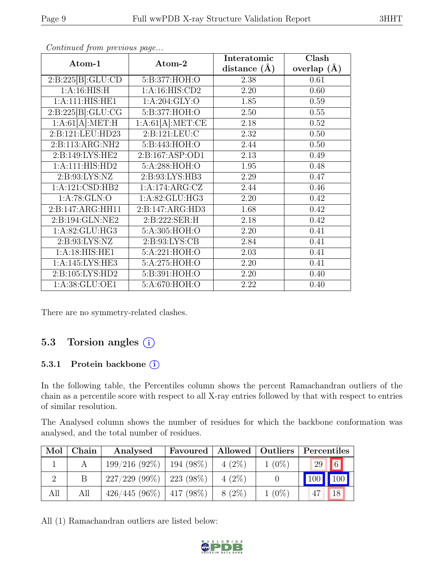| Atom-1             | Atom-2           | Interatomic    | Clash           |
|--------------------|------------------|----------------|-----------------|
|                    |                  | distance $(A)$ | overlap $(\AA)$ |
| 2:B:225[B]:GLU:CD  | 5:B:377:HOH:O    | 2.38           | 0.61            |
| 1: A:16: HIS:H     | 1:A:16:HIS:CD2   | 2.20           | 0.60            |
| 1:A:111:HIS:HE1    | 1: A:204: GLY:O  | 1.85           | 0.59            |
| 2:B:225[B]:GLU:CG  | 5:B:377:HOH:O    | 2.50           | 0.55            |
| 1:A:61[A]:MET:H    | 1:A:61[A]:MET:CE | 2.18           | 0.52            |
| 2:B:121:LEU:HD23   | 2:B:121:LEU:C    | 2.32           | 0.50            |
| 2:B:113:ARG:NH2    | 5:B:443:HOH:O    | 2.44           | 0.50            |
| 2: B:149: LYS: HE2 | 2:B:167:ASP:OD1  | 2.13           | 0.49            |
| 1:A:111:HIS:HD2    | 5:A:288:HOH:O    | 1.95           | 0.48            |
| 2:B:93:LYS:NZ      | 2:B:93:LYS:HB3   | 2.29           | 0.47            |
| 1:A:121:CSD:HB2    | 1:A:174:ARG:CZ   | 2.44           | 0.46            |
| 1:A:78:GLN:O       | 1:A:82:GLU:HG3   | 2.20           | 0.42            |
| 2:B:147:ARG:HH11   | 2:B:147:ARG:HD3  | 1.68           | 0.42            |
| 2:B:194:GLN:NE2    | 2: B:222: SER:H  | 2.18           | 0.42            |
| 1: A:82: GLU: HG3  | 5:A:305:HOH:O    | 2.20           | 0.41            |
| 2: B: 93: LYS: NZ  | 2:B:93:LYS:CB    | 2.84           | 0.41            |
| 1:A:18:HIS:HE1     | 5:A:221:HOH:O    | 2.03           | 0.41            |
| 1:A:145:LYS:HE3    | 5:A:275:HOH:O    | 2.20           | 0.41            |
| 2:B:105:LYS:HD2    | 5:B:391:HOH:O    | 2.20           | 0.40            |
| 1:A:38:GLU:OE1     | 5:A:670:HOH:O    | 2.22           | 0.40            |

There are no symmetry-related clashes.

#### 5.3 Torsion angles (i)

#### 5.3.1 Protein backbone (i)

In the following table, the Percentiles column shows the percent Ramachandran outliers of the chain as a percentile score with respect to all X-ray entries followed by that with respect to entries of similar resolution.

The Analysed column shows the number of residues for which the backbone conformation was analysed, and the total number of residues.

| Mol | Chain | Analysed        | Favoured    |          | Allowed   Outliers | Percentiles           |  |
|-----|-------|-----------------|-------------|----------|--------------------|-----------------------|--|
|     |       | 199/216(92%)    | $194(98\%)$ | $4(2\%)$ | $1(0\%)$           | $6\overline{6}$<br>29 |  |
|     |       | 227/229(99%)    | 223 (98\%)  | $4(2\%)$ |                    |                       |  |
| All | All   | $426/445(96\%)$ | $417(98\%)$ | $8(2\%)$ | $1(0\%)$           | 18                    |  |

All (1) Ramachandran outliers are listed below:

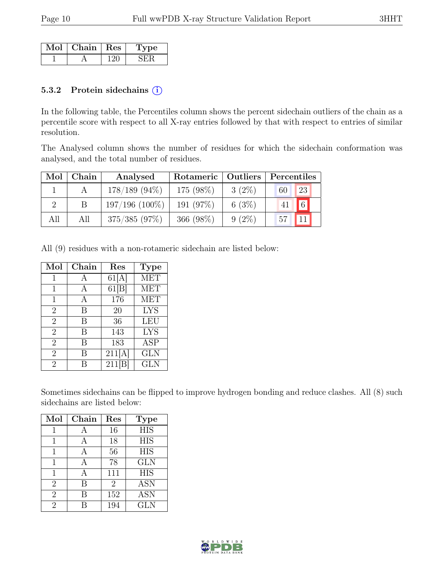| Mol | Chain   Res | ne |
|-----|-------------|----|
|     |             |    |

#### 5.3.2 Protein side chains  $(i)$

In the following table, the Percentiles column shows the percent sidechain outliers of the chain as a percentile score with respect to all X-ray entries followed by that with respect to entries of similar resolution.

The Analysed column shows the number of residues for which the sidechain conformation was analysed, and the total number of residues.

| Mol           | Chain | Analysed         | Rotameric   Outliers |          | Percentiles |          |
|---------------|-------|------------------|----------------------|----------|-------------|----------|
|               |       | $178/189$ (94\%) | 175 (98%)            | $3(2\%)$ | 60          | 23       |
| $\mathcal{D}$ |       | $197/196$ (100%) | 191 (97%)            | 6(3%)    | 41          | $6\vert$ |
| All           | All   | 375/385(97%)     | 366 (98%)            | $9(2\%)$ | 57          | 11       |

All (9) residues with a non-rotameric sidechain are listed below:

| Mol            | Chain | $\operatorname{Res}$ | <b>Type</b> |
|----------------|-------|----------------------|-------------|
| 1              | А     | 61[A]                | <b>MET</b>  |
| 1              | А     | 61[B]                | <b>MET</b>  |
| $\mathbf{1}$   | А     | 176                  | <b>MET</b>  |
| $\overline{2}$ | B     | 20                   | <b>LYS</b>  |
| $\overline{2}$ | B     | 36                   | <b>LEU</b>  |
| $\overline{2}$ | B     | 143                  | <b>LYS</b>  |
| $\overline{2}$ | В     | 183                  | <b>ASP</b>  |
| $\overline{2}$ | В     | 211[A]               | <b>GLN</b>  |
| $\overline{2}$ | R     | $211\overline{B}$    | <b>GLN</b>  |

Sometimes sidechains can be flipped to improve hydrogen bonding and reduce clashes. All (8) such sidechains are listed below:

| Mol            | Chain | Res            | <b>Type</b> |
|----------------|-------|----------------|-------------|
| 1              | А     | 16             | <b>HIS</b>  |
| 1              | A     | 18             | <b>HIS</b>  |
| 1              | А     | 56             | <b>HIS</b>  |
| 1              | A     | 78             | <b>GLN</b>  |
| 1              |       | 111            | <b>HIS</b>  |
| $\overline{2}$ | В     | $\overline{2}$ | <b>ASN</b>  |
| $\overline{2}$ | B     | 152            | <b>ASN</b>  |
| $\overline{2}$ |       | 194            | <b>GLN</b>  |

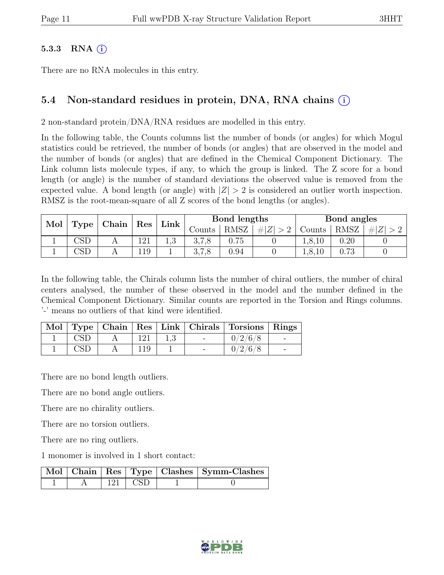#### 5.3.3 RNA  $(i)$

There are no RNA molecules in this entry.

#### 5.4 Non-standard residues in protein, DNA, RNA chains (i)

2 non-standard protein/DNA/RNA residues are modelled in this entry.

In the following table, the Counts columns list the number of bonds (or angles) for which Mogul statistics could be retrieved, the number of bonds (or angles) that are observed in the model and the number of bonds (or angles) that are defined in the Chemical Component Dictionary. The Link column lists molecule types, if any, to which the group is linked. The Z score for a bond length (or angle) is the number of standard deviations the observed value is removed from the expected value. A bond length (or angle) with  $|Z| > 2$  is considered an outlier worth inspection. RMSZ is the root-mean-square of all Z scores of the bond lengths (or angles).

| Mol |                         |                | Chain               |             |        |      |         |        |      |     |  |  | Bond lengths |  |  | Bond angles |  |
|-----|-------------------------|----------------|---------------------|-------------|--------|------|---------|--------|------|-----|--|--|--------------|--|--|-------------|--|
|     | Type                    |                | $\vert$ Res $\vert$ | $Link \mid$ | Counts | RMSZ | $\# Z $ | Counts | RMSZ | # Z |  |  |              |  |  |             |  |
|     | $\mathbb{C}\mathrm{SD}$ | $\overline{1}$ | 121                 |             | 3,7,8  | 0.75 |         | 1,8,10 | 0.20 |     |  |  |              |  |  |             |  |
|     | $\mathbb{C}\mathrm{SL}$ |                | 119                 |             | 0.1.0  | 0.94 |         | 1,8,10 | 0.73 |     |  |  |              |  |  |             |  |

In the following table, the Chirals column lists the number of chiral outliers, the number of chiral centers analysed, the number of these observed in the model and the number defined in the Chemical Component Dictionary. Similar counts are reported in the Torsion and Rings columns. '-' means no outliers of that kind were identified.

|  |     |            | Mol   Type   Chain   Res   Link   Chirals   Torsions   Rings |  |
|--|-----|------------|--------------------------------------------------------------|--|
|  | 121 | $\sim$ $-$ | 0/2/6/8                                                      |  |
|  |     |            | 0/2/6/8                                                      |  |

There are no bond length outliers.

There are no bond angle outliers.

There are no chirality outliers.

There are no torsion outliers.

There are no ring outliers.

1 monomer is involved in 1 short contact:

|  |           | Mol   Chain   Res   Type   Clashes   Symm-Clashes |
|--|-----------|---------------------------------------------------|
|  | 121 L CSD |                                                   |

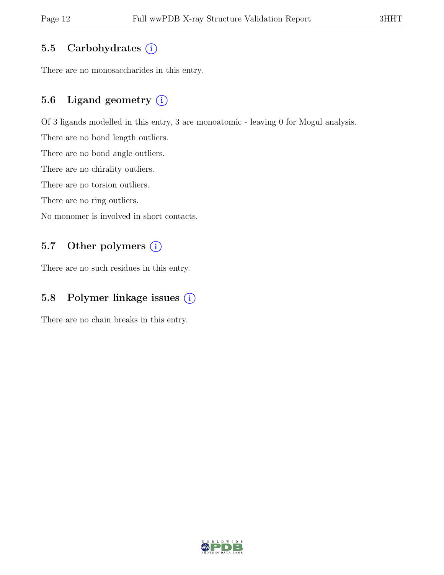### 5.5 Carbohydrates  $(i)$

There are no monosaccharides in this entry.

### 5.6 Ligand geometry  $(i)$

Of 3 ligands modelled in this entry, 3 are monoatomic - leaving 0 for Mogul analysis.

There are no bond length outliers.

There are no bond angle outliers.

There are no chirality outliers.

There are no torsion outliers.

There are no ring outliers.

No monomer is involved in short contacts.

### 5.7 Other polymers (i)

There are no such residues in this entry.

### 5.8 Polymer linkage issues (i)

There are no chain breaks in this entry.

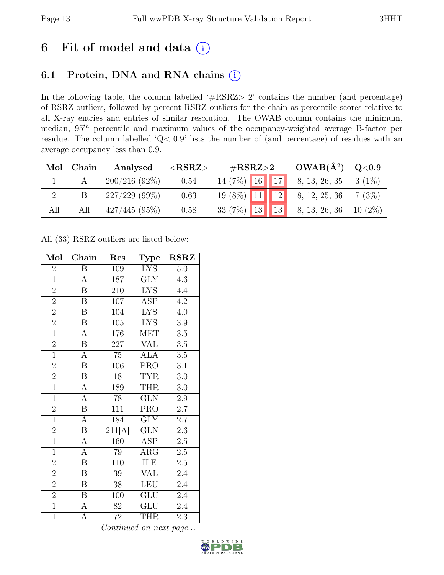## 6 Fit of model and data  $(i)$

### 6.1 Protein, DNA and RNA chains (i)

In the following table, the column labelled ' $\#\text{RSRZ}>2$ ' contains the number (and percentage) of RSRZ outliers, followed by percent RSRZ outliers for the chain as percentile scores relative to all X-ray entries and entries of similar resolution. The OWAB column contains the minimum, median,  $95<sup>th</sup>$  percentile and maximum values of the occupancy-weighted average B-factor per residue. The column labelled 'Q< 0.9' lists the number of (and percentage) of residues with an average occupancy less than 0.9.

| Mol | Chain | Analysed        | ${ <\hspace{-1.5pt}{\mathrm{RSRZ}} \hspace{-1.5pt}>}$ | # $RSRZ>2$                    | $OWAB(A^2)$                 | Q <sub>0.9</sub> |
|-----|-------|-----------------|-------------------------------------------------------|-------------------------------|-----------------------------|------------------|
|     |       | 200/216(92%)    | 0.54                                                  | $14(7\%)$ 16 17               | $\vert 8, 13, 26, 35 \vert$ | $3(1\%)$         |
|     |       | $227/229$ (99%) | 0.63                                                  | $19(8\%)$ 11 12 8, 12, 25, 36 |                             | 7(3%)            |
| All | All   | $427/445(95\%)$ | 0.58                                                  | 33 (7%) 13 13                 | 8, 13, 26, 36               | $10(2\%)$        |

All (33) RSRZ outliers are listed below:

| Mol            | Chain                   | Res                 | <b>Type</b>             | <b>RSRZ</b>      |
|----------------|-------------------------|---------------------|-------------------------|------------------|
| $\overline{2}$ | B                       | 109                 | <b>LYS</b>              | 5.0              |
| $\overline{1}$ | A                       | 187                 | GLY                     | 4.6              |
| $\overline{2}$ | $\boldsymbol{B}$        | 210                 | <b>LYS</b>              | 4.4              |
| $\overline{2}$ | $\, {\bf B}$            | 107                 | ASP                     | 4.2              |
| $\overline{2}$ | $\overline{\mathrm{B}}$ | $\overline{1}04$    | <b>LYS</b>              | 4.0              |
| $\overline{2}$ | $\boldsymbol{B}$        | 105                 | <b>LYS</b>              | 3.9              |
| $\overline{1}$ | $\overline{\rm A}$      | 176                 | <b>MET</b>              | 3.5              |
| $\overline{2}$ | $\overline{B}$          | 227                 | <b>VAL</b>              | $\overline{3.5}$ |
| $\overline{1}$ | $\overline{A}$          | $\overline{75}$     | <b>ALA</b>              | 3.5              |
| $\overline{2}$ | $\overline{\mathbf{B}}$ | 106                 | PRO                     | 3.1              |
| $\overline{2}$ | $\overline{\mathbf{B}}$ | 18                  | <b>TYR</b>              | $3.0\,$          |
| $\overline{1}$ | $\overline{A}$          | 189                 | <b>THR</b>              | $3.0\,$          |
| $\overline{1}$ | $\overline{A}$          | 78                  | <b>GLN</b>              | 2.9              |
| $\overline{2}$ | $\overline{\mathbf{B}}$ | $\overline{1}11$    | <b>PRO</b>              | 2.7              |
| $\overline{1}$ | $\overline{A}$          | 184                 | $\overline{\text{GLY}}$ | 2.7              |
| $\overline{2}$ | $\overline{B}$          | $\overline{211[A]}$ | GLN                     | 2.6              |
| $\overline{1}$ | $\overline{A}$          | 160                 | <b>ASP</b>              | $2.\overline{5}$ |
| $\overline{1}$ | $\overline{\rm A}$      | 79                  | $\rm{ARG}$              | $2.5\,$          |
| $\overline{2}$ | $\overline{\mathbf{B}}$ | 110                 | ILE                     | 2.5              |
| $\overline{2}$ | $\overline{B}$          | 39                  | VAL                     | 2.4              |
| $\overline{2}$ | $\overline{B}$          | $\overline{38}$     | <b>LEU</b>              | 2.4              |
| $\overline{2}$ | $\overline{\text{B}}$   | 100                 | $\overline{\text{GLU}}$ | $\overline{2}.4$ |
| $\overline{1}$ | $\overline{A}$          | 82                  | <b>GLU</b>              | 2.4              |
| $\overline{1}$ | A                       | $72\,$              | <b>THR</b>              | 2.3              |